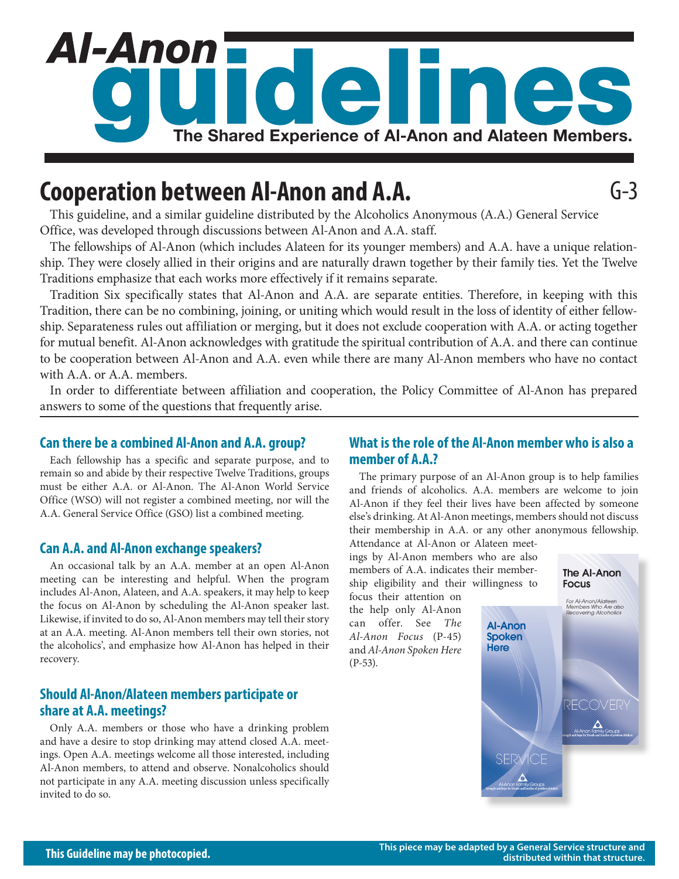# Al-Anon' deline **The Shared Experience of Al‑Anon and Alateen Members.**

# **Cooperation between Al-Anon and A.A.**

This guideline, and a similar guideline distributed by the Alcoholics Anonymous (A.A.) General Service Office, was developed through discussions between Al-Anon and A.A. staff.

The fellowships of Al-Anon (which includes Alateen for its younger members) and A.A. have a unique relationship. They were closely allied in their origins and are naturally drawn together by their family ties. Yet the Twelve Traditions emphasize that each works more effectively if it remains separate.

Tradition Six specifically states that Al-Anon and A.A. are separate entities. Therefore, in keeping with this Tradition, there can be no combining, joining, or uniting which would result in the loss of identity of either fellowship. Separateness rules out affiliation or merging, but it does not exclude cooperation with A.A. or acting together for mutual benefit. Al-Anon acknowledges with gratitude the spiritual contribution of A.A. and there can continue to be cooperation between Al-Anon and A.A. even while there are many Al-Anon members who have no contact with A.A. or A.A. members.

In order to differentiate between affiliation and cooperation, the Policy Committee of Al-Anon has prepared answers to some of the questions that frequently arise.

#### **Can there be a combined Al-Anon and A.A. group?**

Each fellowship has a specific and separate purpose, and to remain so and abide by their respective Twelve Traditions, groups must be either A.A. or Al-Anon. The Al-Anon World Service Office (WSO) will not register a combined meeting, nor will the A.A. General Service Office (GSO) list a combined meeting.

#### **Can A.A. and Al-Anon exchange speakers?**

An occasional talk by an A.A. member at an open Al-Anon meeting can be interesting and helpful. When the program includes Al-Anon, Alateen, and A.A. speakers, it may help to keep the focus on Al-Anon by scheduling the Al-Anon speaker last. Likewise, if invited to do so, Al-Anon members may tell their story at an A.A. meeting. Al-Anon members tell their own stories, not the alcoholics', and emphasize how Al-Anon has helped in their recovery.

## **Should Al-Anon/Alateen members participate or share at A.A. meetings?**

Only A.A. members or those who have a drinking problem and have a desire to stop drinking may attend closed A.A. meetings. Open A.A. meetings welcome all those interested, including Al-Anon members, to attend and observe. Nonalcoholics should not participate in any A.A. meeting discussion unless specifically invited to do so.

## **What is the role of the Al-Anon member who is also a member of A.A.?**

The primary purpose of an Al-Anon group is to help families and friends of alcoholics. A.A. members are welcome to join Al-Anon if they feel their lives have been affected by someone else's drinking. At Al-Anon meetings, members should not discuss their membership in A.A. or any other anonymous fellowship. Attendance at Al-Anon or Alateen meet-

> **Spoken Here**

ings by Al-Anon members who are also members of A.A. indicates their membership eligibility and their willingness to

focus their attention on the help only Al-Anon can offer. See *The Al-Anon Focus* (P-45) and *Al-Anon Spoken Here* (P-53).

**The Al-Anon Focus** For Al-Anon/Alateen<br>Members Who Are also<br>Recovering Alcoholics **Al-Anon** FCOVER

G-3